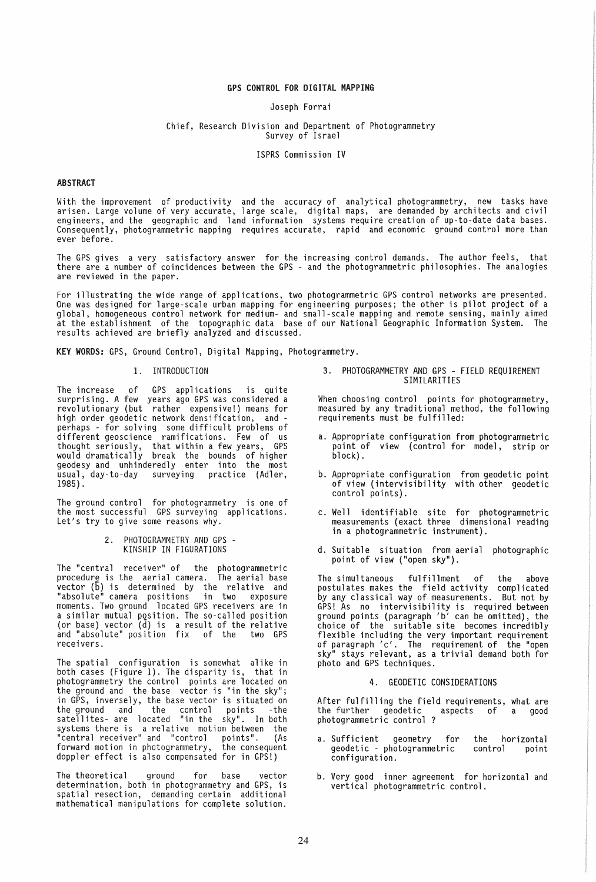# GPS CONTROL FOR DIGITAL MAPPING

#### Joseph Forrai

### Chief, Research Division and Department of Photogrammetry Survey of Israel

ISPRS Commission IV

### ABSTRACT

With the improvement of productivity and the accuracy of analytical photogrammetry, new tasks have arisen. Large volume of very accurate, large scale, digital maps, are demanded by architects and civil engineers, and the geographic and land information systems require creation of up-to-date data bases. Consequently, photogrammetric mapping requires accurate, rapid and economic ground control more than ever before.

The GPS gives a very satisfactory answer for the increasing control demands. The author feels, that there are a number of coincidences between the GPS - and the photogrammetric philosophies. The analogies are reviewed in the paper.

For illustrating the wide range of applications, two photogrammetric GPS control networks are presented. One was designed for large-scale urban mapping for engineering purposes; the other is pilot project of a global, homogeneous control network for medium- and small-scale mapping and remote sensing, mainly aimed at the establishment of the topographic data base of our National Geographic Information System. The results achieved are briefly analyzed and discussed.

KEY WORDS: GPS, Ground Control, Digital Mapping, Photogrammetry.

## 1. INTRODUCTION

The increase of GPS applications is quite<br>surprising. A few years ago GPS-was-considered a revolutionary (but rather expensive!) means for high order geodetic network densification, and perhaps - for solving some difficult problems of different geOSCience ramifications. Few of us thought seriously, that within a few years, GPS would dramatically break the bounds of higher geodesy and unhinderedly enter into the most usual, day-to-day surveying practice (Adler, 1985).

The ground control for photogrammetry is one of the most successful GPS surveying applications.<br>Let's try to give some reasons why.

> 2. PHOTOGRAMMETRY AND GPS - KINSHIP IN FIGURATIONS

The "central receiver" of the photogrammetric procedure is the aerial camera. The aerial base vector (6) is determined by the relative and "absolute" camera pOSitions in two exposure moments. Two ground located GPS receivers are in a similar mutual position. The so-called position (or base) vector  $(\bar{d})$  is a result of the relative and "absolute" position fix of the two GPS receivers.

The spatial configuration is somewhat alike in both cases (Figure 1). The disparity is, that in photogrammetry the control points are located on the ground and the base vector is "in the sky"; in GPS, inversely, the base vector is situated on the ground and the control points -the satellites- are located "in the sky". In both systems there is a relative motion between the "central receiver" and "control points". (As forward motion in photogrammetry, the consequent doppler effect is also compensated for in GPS!)

The theoretical ground for base vector determination, both in photogrammetry and GPS, is spatial resection, demanding certain additional mathematical manipulations for complete solution.

3. PHOTOGRAMMETRY AND GPS - FIELD REQUIREMENT SIMILARITIES

When choosing control points for photogrammetry, measured by any traditional method, the following requirements must be fulfilled:

- a. Appropriate configuration from photogrammetric point of view (control for model, strip or block).
- b, Appropriate configuration from geodetic point of view (intervisibility with other geodetic control points).
- c. Well identifiable site for photogrammetric measurements (exact three dimensional reading<br>in a photogrammetric instrument).
- d. Suitable situation from aerial photographic point of view ("open sky").

The simultaneous fulfillment of the above postulates makes the field activity complicated by any classical way of measurements. But not by GPS! As no intervisibility is required between ground points (paragraph *'b '* can be omitted), the choice of the suitable site becomes incredibly flexible including the very important requirement of paragraph 'c', The requirement of the "open sky" stays relevant, as a trivial demand both for photo and GPS techniques.

#### 4. GEODETIC CONSIDERATIONS

After fulfilling the field requirements, what are<br>the further geodetic aspects of a good the further geodetic aspects of a good photogrammetric control ?

- a. Sufficient geometry for geodetic - photogrammetric configuration. the horizontal control point
- b. Very good inner agreement for horizontal and vertical photogrammetric control.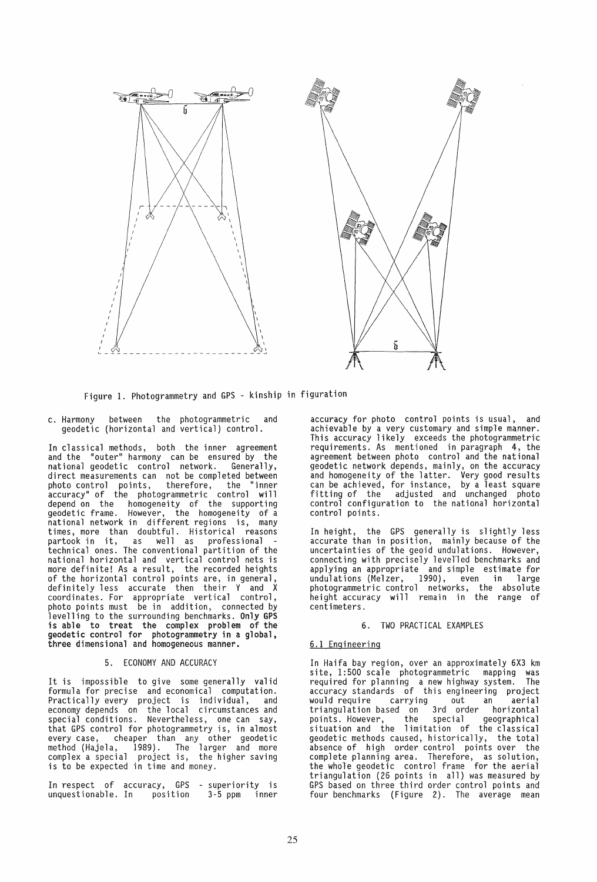



Figure 1. Photogrammetry and GPS - kinship in figuration

c. Harmony between the photogrammetric and geodetic (horizontal and vertical) control.

In classical methods, both the inner agreement and the "outer" harmony can be ensured by the national geodetic control network. Generally, direct measurements can not be completed between photo control points, therefore, the "inner accuracy" of the photogrammetric control will depend on the homogeneity of the supporting geodetic frame. However, the homogeneity of a national network in different regions is, many times, more than doubtful. Historical reasons<br>partook in it, as well as professional partook in it, as well as professional technical ones. The conventional partition of the national horizontal and vertical control nets is more definite! As a result, the recorded heights of the horizontal control points are, in general, definitely less accurate then their Y and X coordinates. For appropriate vertical control, photo points must be in addition, connected by levelling to the surrounding benchmarks. Only GPS is able to treat the complex problem of the geodetic control for photogrammetry in a global, three dimensional and homogeneous manner.

## 5. ECONOMY AND ACCURACY

It is impossible to give some generally valid formula for precise and economical computation. Practically every project is individual, and economy depends on the local circumstances and special conditions. Nevertheless, one can say, that GPS control for photogrammetry is, in almost every case, cheaper than any other geodetic method (Hajela, 1989). The larger and more complex a special project is, the higher saving is to be expected in time and money.

In respect of accuracy, GPS - superiority is In respect of accuracy, GPS - superiority is<br>unquestionable. In position 3-5 ppm inner

accuracy for photo control points is usual, and achievable by a very customary and simple manner. This accuracy likely exceeds the photogrammetric requirements. As mentioned in paragraph 4, the agreement between photo control and the national geodetic network depends, mainly, on the accuracy and homogeneity of the latter. Very good results can be achieved, for instance, by a least square fitting of the adjusted and unchanged photo control configuration to the national horizontal control points.

In height, the GPS generally is slightly less accurate than in position, mainly because of the uncertainties of the geoid undulations. However, connecting with precisely levelled benchmarks and applying an appropriate and simple estimate for<br>undulations (Melzer, 1990), even in large undulations (Melzer, 1990), even in large<br>photogrammetric control networks, the absolute height accuracy will remain in the range of centimeters.

### 6. TWO PRACTICAL EXAMPLES

## 6.1 Engineering

In Haifa bay region, over an approximately 6X3 km site, 1:500 scale photogrammetric mapping was required for planning a new highway system. The<br>accuracy standards of this engineering project accuracy standards of this engineering project would require carrying out an aerial triangulation based on 3rd order horizontal points. However, the special geographical points. However, the special geographical<br>situation and the limitation of the classical geodetic methods caused, historically, the total absence of high order control points over the complete planning area. Therefore, as solution, the whole geodetic control frame for the aerial triangulation (26 points in all) was measured by GPS based on three third order control points and four benchmarks (Figure 2). The average mean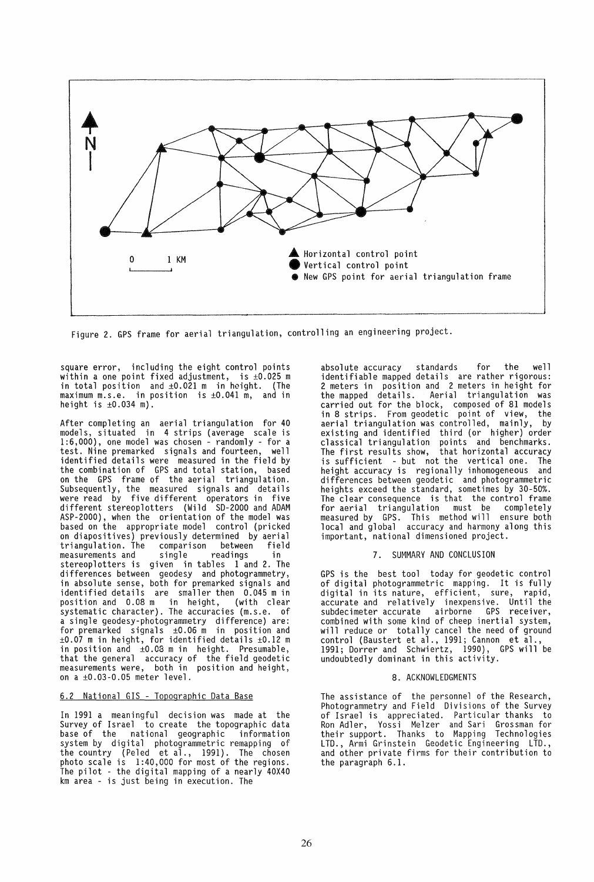

Figure 2. GPS frame for aerial triangulation, controlling an engineering project.

square error, including the eight control points within a one point fixed adjustment, is ±O.025 m in total position and ±0.021 m in height. (The maximum m.s.e. in position is ±0.041 m, and in height is  $\pm 0.034$  m).

After completing an aerial triangulation for 40 models, situated in 4 strips (average scale is 1:6,000), one model was chosen - randomly - for a test. Nine premarked signals and fourteen, well identified details were measured in the field by the combination of GPS and total station, based on the GPS frame of the aerial triangulation. Subsequently, the measured signals and details were read by five different operators in five different stereoplotters (Wild SD-2000 and ADAM ASP-2000), when the orientation of the model was based on the appropriate model control (pricked on diapositives) previously determined by aerial triangulation. The comparison between field measurements and single readings in stereoplotters is given in tables 1 and 2. The differences between geodesy and photogrammetry, in absolute sense, both for premarked signals and identified details are smaller then 0.045 m in position and 0.08 m in height, (with clear systematic character). The accuracies (m.s.e. of a single geodesy-photogrammetry difference) are: for premarked signals ±0.06 m in position and ±0.07 m in height, for identified details ±0.12 m in position and ±0.08 m in height. Presumable, that the general accuracy of the field geodetic measurements were, both in position and height, on a ±0.03-0.05 meter level.

# 6.2 National GIS - Topographic Data Base

In 1991 a meaningful decision was made at the Survey of Israel to create the topographic data base of the national geographic information system by digital photogrammetric remapping of the country (Peled et al., 1991). The chosen photo scale is 1:40,000 for most of the regions. The pilot - the digital mapping of a nearly 40X40 km area - is just being in execution. The

absolute accuracy standards for the well identifiable mapped details are rather rigorous:<br>2 meters in position and 2 meters in height for<br>the mapped details. Aerial triangulation was Aerial triangulation was carried out for the block, composed of 81 models in 8 strips. From geodetic point of view, the aerial triangulation was controlled, mainly, by existing and identified third (or higher) order classical triangulation points and benchmarks. The first results show, that horizontal accuracy is sufficient - but not the vertical one. The<br>height accuracy is regionally inhomogeneous and height accuracy is regionally inhomogeneous differences between geodetic and photogrammetric heights exceed the standard, sometimes by 30-50%. The clear consequence is that the control frame for aerial triangulation must be completely measured by GPS. This method will ensure both local and global accuracy and harmony along this important, national dimensioned project.

## 7. SUMMARY AND CONCLUSION

GPS is the best tool today for geodetic control ars is the best toor today for geodetre control digital in its nature, efficient, sure, rapid, accurate and relatively inexpensive. Until the subdecimeter accurate airborne GPS receiver, combined with some kind of cheep inertial system, will reduce or totally cancel the need of ground control (Baustert et al., 1991; Cannon et al., 1991; Dorrer and Schwiertz, 1990), GPS will be undoubtedly dominant in this activity.

## 8. ACKNOWLEDGMENTS

The assistance of the personnel of the Research, Photogrammetry and Field Divisions of the Survey of Israel is appreciated. Particular thanks to Ron Adler, Voss; Melzer and Sari Grossman for their support. Thanks to Mapping Technologies LTD., Arm; Grinstein Geodetic Engineering LTD., and other private firms for their contribution to the paragraph 6.1.